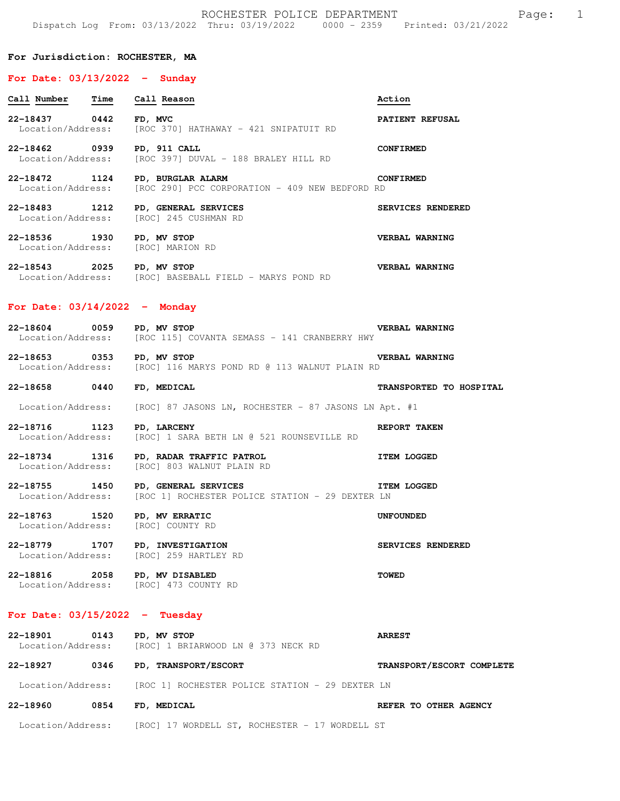### **For Jurisdiction: ROCHESTER, MA**

## **For Date: 03/13/2022 - Sunday**

| Time<br>Call Number                   | Call Reason                                                         | Action            |
|---------------------------------------|---------------------------------------------------------------------|-------------------|
| 22-18437<br>0442<br>Location/Address: | FD, MVC<br>[ROC 370] HATHAWAY - 421 SNIPATUIT RD                    | PATIENT REFUSAL   |
| 22-18462<br>0939<br>Location/Address: | PD, 911 CALL<br>[ROC 397] DUVAL - 188 BRALEY HILL RD                | <b>CONFIRMED</b>  |
| 22-18472<br>1124<br>Location/Address: | PD, BURGLAR ALARM<br>[ROC 290] PCC CORPORATION - 409 NEW BEDFORD RD | <b>CONFIRMED</b>  |
| 22-18483<br>1212<br>Location/Address: | PD, GENERAL SERVICES<br>[ROC] 245 CUSHMAN RD                        | SERVICES RENDERED |
| 22-18536<br>1930                      | PD, MV STOP                                                         | VERBAL WARNING    |

Location/Address: [ROC] MARION RD **22-18543 2025 PD, MV STOP VERBAL WARNING**  Location/Address: [ROC] BASEBALL FIELD - MARYS POND RD

## **For Date: 03/14/2022 - Monday**

**22-18604 0059 PD, MV STOP VERBAL WARNING**  Location/Address: [ROC 115] COVANTA SEMASS - 141 CRANBERRY HWY

**22-18653 0353 PD, MV STOP VERBAL WARNING**  Location/Address: [ROC] 116 MARYS POND RD @ 113 WALNUT PLAIN RD

**22-18658 0440 FD, MEDICAL TRANSPORTED TO HOSPITAL** 

Location/Address: [ROC] 87 JASONS LN, ROCHESTER - 87 JASONS LN Apt. #1

**22-18716 1123 PD, LARCENY REPORT TAKEN**  Location/Address: [ROC] 1 SARA BETH LN @ 521 ROUNSEVILLE RD

**22-18734 1316 PD, RADAR TRAFFIC PATROL ITEM LOGGED**  Location/Address: [ROC] 803 WALNUT PLAIN RD

**22-18755 1450 PD, GENERAL SERVICES ITEM LOGGED**  Location/Address: [ROC 1] ROCHESTER POLICE STATION - 29 DEXTER LN

**22-18763 1520 PD, MV ERRATIC UNFOUNDED**  Location/Address: [ROC] COUNTY RD

**22-18779 1707 PD, INVESTIGATION SERVICES RENDERED**<br>
Location/Address: [ROC] 259 HARTLEY RD [ROC] 259 HARTLEY RD

**22-18816 2058 PD, MV DISABLED TOWED**  Location/Address: [ROC] 473 COUNTY RD

# **For Date: 03/15/2022 - Tuesday**

**22-18901 0143 PD, MV STOP ARREST**  Location/Address: [ROC] 1 BRIARWOOD LN @ 373 NECK RD **22-18927 0346 PD, TRANSPORT/ESCORT TRANSPORT/ESCORT COMPLETE**  Location/Address: [ROC 1] ROCHESTER POLICE STATION - 29 DEXTER LN **22-18960 0854 FD, MEDICAL REFER TO OTHER AGENCY**  Location/Address: [ROC] 17 WORDELL ST, ROCHESTER - 17 WORDELL ST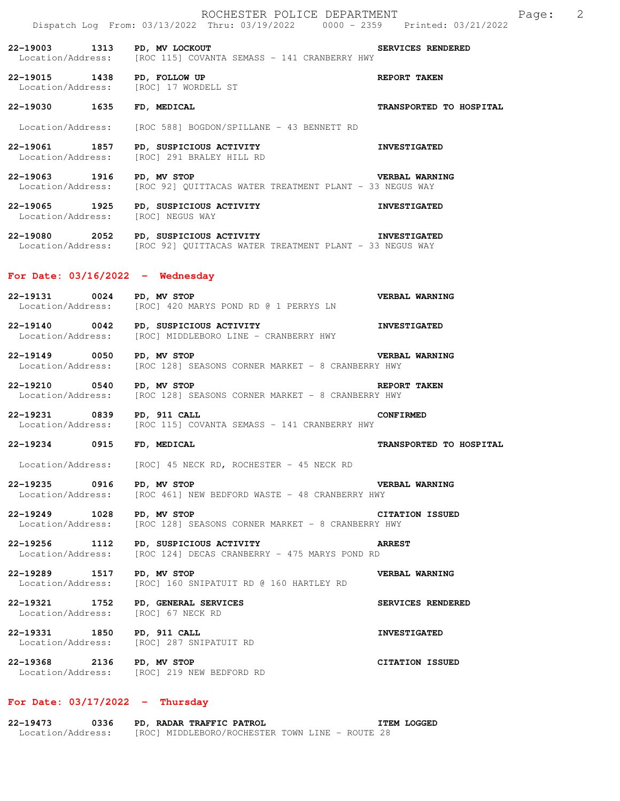**22-19003 1313 PD, MV LOCKOUT SERVICES RENDERED**  Location/Address: [ROC 115] COVANTA SEMASS - 141 CRANBERRY HWY **22-19015 1438 PD, FOLLOW UP REPORT TAKEN**  Location/Address: [ROC] 17 WORDELL ST **22-19030 1635 FD, MEDICAL TRANSPORTED TO HOSPITAL**  Location/Address: [ROC 588] BOGDON/SPILLANE - 43 BENNETT RD **22-19061 1857 PD, SUSPICIOUS ACTIVITY INVESTIGATED**  Location/Address: [ROC] 291 BRALEY HILL RD **22-19063 1916 PD, MV STOP VERBAL WARNING**  Location/Address: [ROC 92] QUITTACAS WATER TREATMENT PLANT - 33 NEGUS WAY **22-19065 1925 PD, SUSPICIOUS ACTIVITY INVESTIGATED**  Location/Address: [ROC] NEGUS WAY **22-19080 2052 PD, SUSPICIOUS ACTIVITY INVESTIGATED**  Location/Address: [ROC 92] QUITTACAS WATER TREATMENT PLANT - 33 NEGUS WAY **For Date: 03/16/2022 - Wednesday 22-19131 0024 PD, MV STOP VERBAL WARNING**  Location/Address: [ROC] 420 MARYS POND RD @ 1 PERRYS LN **22-19140 0042 PD, SUSPICIOUS ACTIVITY CONDUCTS ACTIVITY DESTIGATED** Location/Address: [ROC] MIDDLEBORO LINE - CRANBERRY HWY [ROC] MIDDLEBORO LINE - CRANBERRY HWY **22-19149 0050 PD, MV STOP VERBAL WARNING**<br>Location/Address: [ROC 128] SEASONS CORNER MARKET - 8 CRANBERRY HWY [ROC 128] SEASONS CORNER MARKET - 8 CRANBERRY HWY **22-19210 0540 PD, MV STOP REPORT TAKEN**<br>Location/Address: [ROC 128] SEASONS CORNER MARKET - 8 CRANBERRY HWY [ROC 128] SEASONS CORNER MARKET - 8 CRANBERRY HWY **22-19231 0839 PD, 911 CALL CONFIRMED**  Location/Address: [ROC 115] COVANTA SEMASS - 141 CRANBERRY HWY **22-19234 0915 FD, MEDICAL TRANSPORTED TO HOSPITAL**  Location/Address: [ROC] 45 NECK RD, ROCHESTER - 45 NECK RD **22-19235 0916 PD, MV STOP VERBAL WARNING**<br>Location/Address: [ROC 461] NEW BEDFORD WASTE - 48 CRANBERRY HWY [ROC 461] NEW BEDFORD WASTE - 48 CRANBERRY HWY **22-19249 1028 PD, MV STOP CITATION ISSUED**  Location/Address: [ROC 128] SEASONS CORNER MARKET - 8 CRANBERRY HWY **22-19256 1112 PD, SUSPICIOUS ACTIVITY**<br>Location/Address: [ROC 124] DECAS CRANBERRY - 475 MARYS POND RD [ROC 124] DECAS CRANBERRY - 475 MARYS POND RD

**22-19289 1517 PD, MV STOP VERBAL WARNING**  Location/Address: [ROC] 160 SNIPATUIT RD @ 160 HARTLEY RD

**22-19321 1752 PD, GENERAL SERVICES SERVICES RENDERED**  Location/Address: [ROC] 67 NECK RD

**22-19331 1850 PD, 911 CALL INVESTIGATED**  Location/Address: [ROC] 287 SNIPATUIT RD

**22-19368 2136 PD, MV STOP CITATION ISSUED**  Location/Address: [ROC] 219 NEW BEDFORD RD

## **For Date: 03/17/2022 - Thursday**

| 22-19473          | 0336 | PD, RADAR TRAFFIC PATROL                        |  |  | <b>ITEM LOGGED</b> |
|-------------------|------|-------------------------------------------------|--|--|--------------------|
| Location/Address: |      | [ROC] MIDDLEBORO/ROCHESTER TOWN LINE - ROUTE 28 |  |  |                    |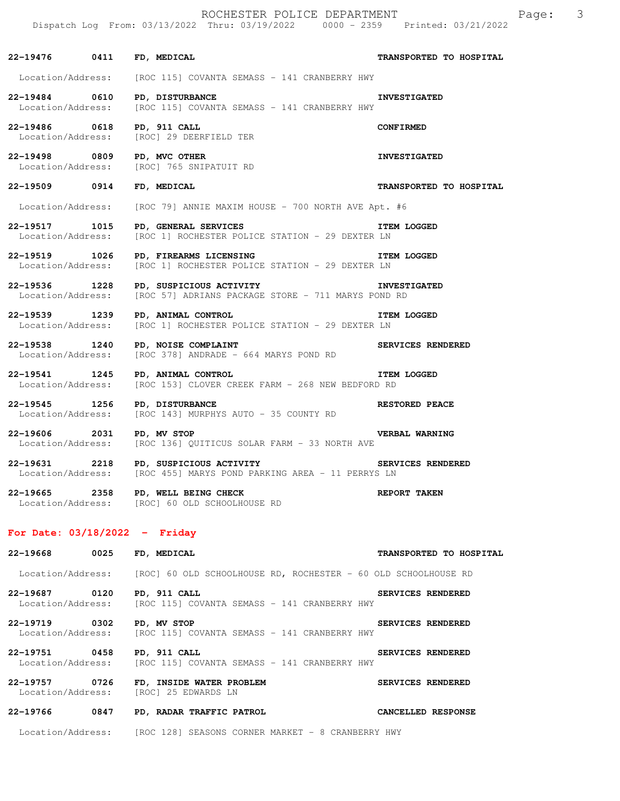| 22-19476 0411 FD, MEDICAL                       |                                                                                                                                      | TRANSPORTED TO HOSPITAL |
|-------------------------------------------------|--------------------------------------------------------------------------------------------------------------------------------------|-------------------------|
|                                                 | Location/Address: [ROC 115] COVANTA SEMASS - 141 CRANBERRY HWY                                                                       |                         |
| 22-19484 0610                                   | PD, DISTURBANCE<br>Location/Address: [ROC 115] COVANTA SEMASS - 141 CRANBERRY HWY                                                    | <b>INVESTIGATED</b>     |
| 22-19486 0618 PD, 911 CALL<br>Location/Address: | [ROC] 29 DEERFIELD TER                                                                                                               | <b>CONFIRMED</b>        |
| 22-19498 0809 PD, MVC OTHER                     | Location/Address: [ROC] 765 SNIPATUIT RD                                                                                             | <b>INVESTIGATED</b>     |
| 22-19509 0914 FD, MEDICAL                       |                                                                                                                                      | TRANSPORTED TO HOSPITAL |
|                                                 | Location/Address: [ROC 79] ANNIE MAXIM HOUSE - 700 NORTH AVE Apt. #6                                                                 |                         |
| 22-19517 1015                                   | PD, GENERAL SERVICES<br>Location/Address: [ROC 1] ROCHESTER POLICE STATION - 29 DEXTER LN                                            | <b>ITEM LOGGED</b>      |
| 22-19519 1026<br>Location/Address:              | PD, FIREARMS LICENSING<br>[ROC 1] ROCHESTER POLICE STATION - 29 DEXTER LN                                                            | <b>ITEM LOGGED</b>      |
|                                                 | 22-19536 1228 PD, SUSPICIOUS ACTIVITY<br><b>INVESTIGATED</b><br>Location/Address: [ROC 57] ADRIANS PACKAGE STORE - 711 MARYS POND RD |                         |
|                                                 | <b>THEM LOGGED</b><br>22-19539 1239 PD, ANIMAL CONTROL ITE<br>Location/Address: [ROC 1] ROCHESTER POLICE STATION - 29 DEXTER LN      |                         |
| 22-19538 1240 PD, NOISE COMPLAINT               | Location/Address: [ROC 378] ANDRADE - 664 MARYS POND RD                                                                              | SERVICES RENDERED       |
| 22-19541 1245 PD, ANIMAL CONTROL                | Location/Address: [ROC 153] CLOVER CREEK FARM - 268 NEW BEDFORD RD                                                                   | <b>ITEM LOGGED</b>      |
| 22-19545 1256<br>Location/Address:              | PD, DISTURBANCE<br>[ROC 143] MURPHYS AUTO - 35 COUNTY RD                                                                             | <b>RESTORED PEACE</b>   |
| 22-19606 2031                                   | PD, MV STOP<br>Location/Address: [ROC 136] QUITICUS SOLAR FARM - 33 NORTH AVE                                                        | <b>VERBAL WARNING</b>   |
|                                                 | 22-19631 2218 PD, SUSPICIOUS ACTIVITY SERVICES RENDERED<br>Location/Address: [ROC 455] MARYS POND PARKING AREA - 11 PERRYS LN        |                         |
|                                                 | Location/Address: [ROC] 60 OLD SCHOOLHOUSE RD<br>Location/Address: [ROC] 60 OLD SCHOOLHOUSE RD<br>22-19665 2358 PD, WELL BEING CHECK | REPORT TAKEN            |
| For Date: $03/18/2022 -$ Friday                 |                                                                                                                                      |                         |

# **22-19668 0025 FD, MEDICAL TRANSPORTED TO HOSPITAL**  Location/Address: [ROC] 60 OLD SCHOOLHOUSE RD, ROCHESTER - 60 OLD SCHOOLHOUSE RD **22-19687 0120 PD, 911 CALL SERVICES RENDERED**  Location/Address: [ROC 115] COVANTA SEMASS - 141 CRANBERRY HWY **22-19719 0302 PD, MV STOP SERVICES RENDERED**<br>Location/Address: [ROC 115] COVANTA SEMASS - 141 CRANBERRY HWY [ROC 115] COVANTA SEMASS - 141 CRANBERRY HWY **22-19751 0458 PD, 911 CALL SERVICES RENDERED**  Location/Address: [ROC 115] COVANTA SEMASS - 141 CRANBERRY HWY **22-19757 0726 FD, INSIDE WATER PROBLEM SERVICES RENDERED**<br>
Location/Address: [ROC] 25 EDWARDS LN [ROC] 25 EDWARDS LN **22-19766 0847 PD, RADAR TRAFFIC PATROL CANCELLED RESPONSE**  Location/Address: [ROC 128] SEASONS CORNER MARKET - 8 CRANBERRY HWY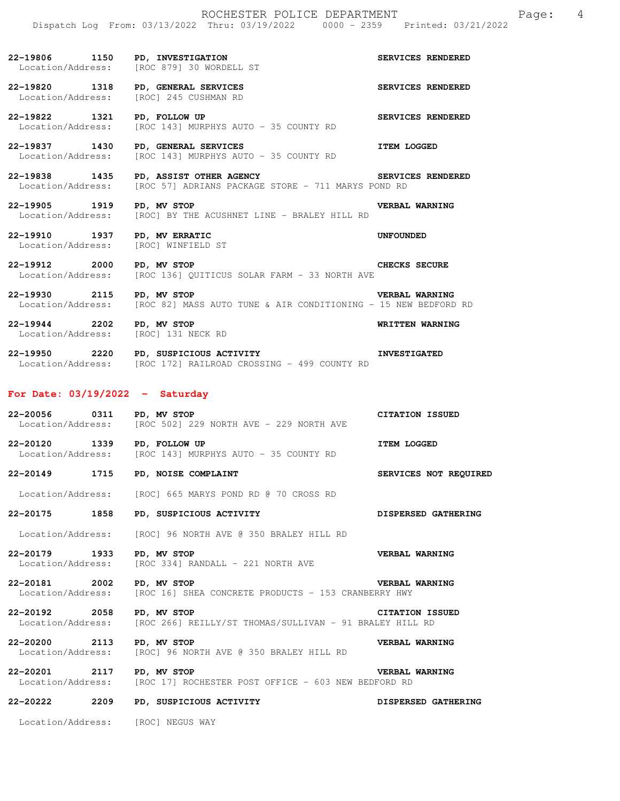**22-19806 1150 PD, INVESTIGATION SERVICES RENDERED**  Location/Address: [ROC 879] 30 WORDELL ST **22-19820 1318 PD, GENERAL SERVICES SERVICES RENDERED**  Location/Address: [ROC] 245 CUSHMAN RD **22-19822 1321 PD, FOLLOW UP SERVICES RENDERED**<br>Location/Address: [ROC 143] MURPHYS AUTO - 35 COUNTY RD [ROC 143] MURPHYS AUTO - 35 COUNTY RD **22-19837** 1430 PD, GENERAL SERVICES **ITEM LOGGED** Location/Address: [ROC 143] MURPHYS AUTO - 35 COUNTY RD

**22-19838 1435 PD, ASSIST OTHER AGENCY SERVICES RENDERED**  Location/Address: [ROC 57] ADRIANS PACKAGE STORE - 711 MARYS POND RD

# **22-19905 1919 PD, MV STOP VERBAL WARNING**  Location/Address: [ROC] BY THE ACUSHNET LINE - BRALEY HILL RD

**22-19910 1937 PD, MV ERRATIC UNFOUNDED**  Location/Address: [ROC] WINFIELD ST

**22-19912 2000 PD, MV STOP CHECKS SECURE**  Location/Address: [ROC 136] QUITICUS SOLAR FARM - 33 NORTH AVE

**22-19930 2115 PD, MV STOP VERBAL WARNING**  Location/Address: [ROC 82] MASS AUTO TUNE & AIR CONDITIONING - 15 NEW BEDFORD RD

**22-19944 2202 PD, MV STOP WRITTEN WARNING**  Location/Address: [ROC] 131 NECK RD

**22-19950 2220 PD, SUSPICIOUS ACTIVITY INVESTIGATED**  Location/Address: [ROC 172] RAILROAD CROSSING - 499 COUNTY RD

## **For Date: 03/19/2022 - Saturday**

| 22-20056          | 0311 | PD, MV STOP                             | <b>CITATION ISSUED</b> |
|-------------------|------|-----------------------------------------|------------------------|
| Location/Address: |      | [ROC 502] 229 NORTH AVE - 229 NORTH AVE |                        |
|                   |      |                                         |                        |

**22-20120 1339 PD, FOLLOW UP ITEM LOGGED**  Location/Address: [ROC 143] MURPHYS AUTO - 35 COUNTY RD

**22-20149 1715 PD, NOISE COMPLAINT SERVICES NOT REQUIRED** 

Location/Address: [ROC] 665 MARYS POND RD @ 70 CROSS RD

**22-20175 1858 PD, SUSPICIOUS ACTIVITY DISPERSED GATHERING** 

Location/Address: [ROC] 96 NORTH AVE @ 350 BRALEY HILL RD

**22-20179 1933 PD, MV STOP VERBAL WARNING**  Location/Address: [ROC 334] RANDALL - 221 NORTH AVE

**22-20181 2002 PD, MV STOP VERBAL WARNING**  Location/Address: [ROC 16] SHEA CONCRETE PRODUCTS - 153 CRANBERRY HWY

**22-20192 2058 PD, MV STOP CITATION ISSUED**  Location/Address: [ROC 266] REILLY/ST THOMAS/SULLIVAN - 91 BRALEY HILL RD

**22-20200 2113 PD, MV STOP VERBAL WARNING**  Location/Address: [ROC] 96 NORTH AVE @ 350 BRALEY HILL RD

**22-20201 2117 PD, MV STOP VERBAL WARNING**  Location/Address: [ROC 17] ROCHESTER POST OFFICE - 603 NEW BEDFORD RD

**22-20222 2209 PD, SUSPICIOUS ACTIVITY DISPERSED GATHERING** 

Location/Address: [ROC] NEGUS WAY